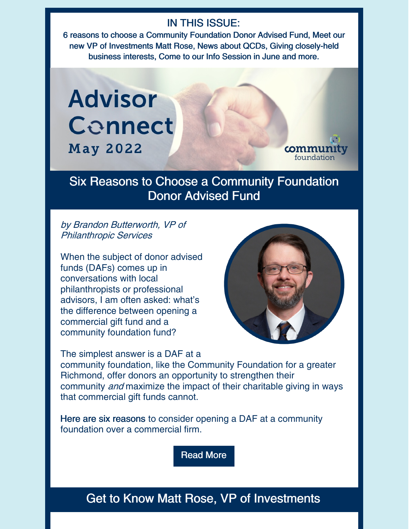#### IN THIS ISSUE:

6 reasons to choose a Community Foundation Donor Advised Fund, Meet our new VP of Investments Matt Rose, News about QCDs, Giving closely-held business interests, Come to our Info Session in June and more.

**Advisor Connect May 2022** 

### Six Reasons to Choose a Community Foundation Donor Advised Fund

#### by Brandon Butterworth, VP of Philanthropic Services

When the subject of donor advised funds (DAFs) comes up in conversations with local philanthropists or professional advisors, I am often asked: what's the difference between opening a commercial gift fund and a community foundation fund?



foundation

The simplest answer is a DAF at a community foundation, like the Community Foundation for a greater Richmond, offer donors an opportunity to strengthen their community *and* maximize the impact of their charitable giving in ways that commercial gift funds cannot.

Here are six reasons to consider opening a DAF at a community foundation over a commercial firm.

[Read](https://www.cfrichmond.org/Leadership-Impact/Blog/PostId/344/six-reasons-to-choose-a-community-foundation-donor-advised-fund) More

# Get to Know Matt Rose, VP of Investments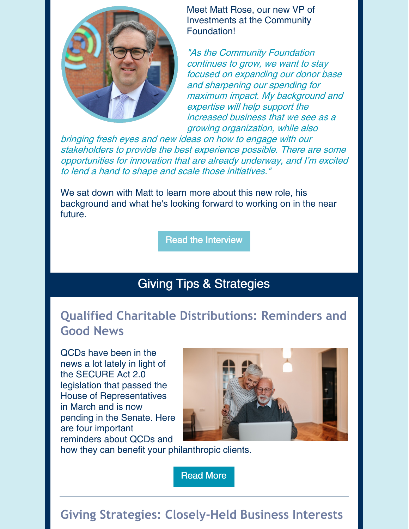

Meet Matt Rose, our new VP of Investments at the Community Foundation!

"As the Community Foundation continues to grow, we want to stay focused on expanding our donor base and sharpening our spending for maximum impact. My background and expertise will help support the increased business that we see as a growing organization, while also

bringing fresh eyes and new ideas on how to engage with our stakeholders to provide the best experience possible. There are some opportunities for innovation that are already underway, and I'm excited to lend <sup>a</sup> hand to shape and scale those initiatives."

We sat down with Matt to learn more about this new role, his background and what he's looking forward to working on in the near future.

Read the [Interview](https://www.cfrichmond.org/Leadership-Impact/Blog/PostId/341/get-to-know-matt-rose-vp-of-investments)

# Giving Tips & Strategies

## **Qualified Charitable Distributions: Reminders and Good News**

QCDs have been in the news a lot lately in light of the SECURE Act 2.0 legislation that passed the House of Representatives in March and is now pending in the Senate. Here are four important reminders about QCDs and



how they can benefit your philanthropic clients.

[Read](https://www.cfrichmond.org/Leadership-Impact/Blog/PostId/342/qualified-charitable-distributions-important-reminders-and-good-news) More

# **Giving Strategies: Closely-Held Business Interests**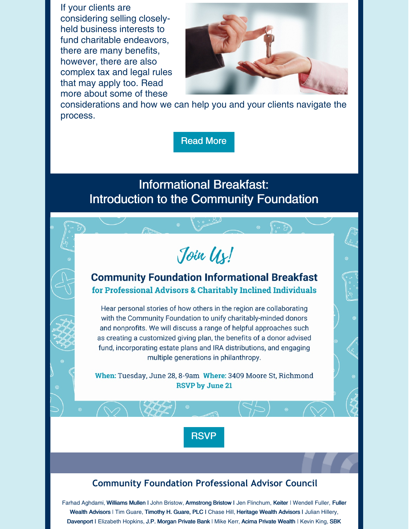If your clients are considering selling closelyheld business interests to fund charitable endeavors, there are many benefits, however, there are also complex tax and legal rules that may apply too. Read more about some of these



considerations and how we can help you and your clients navigate the process.

#### [Read](https://www.cfrichmond.org/Leadership-Impact/Blog/PostId/343/giving-strategies-closely-held-business-interests) More

### Informational Breakfast: Introduction to the Community Foundation

# Join Us!

#### **Community Foundation Informational Breakfast** for Professional Advisors & Charitably Inclined Individuals

Hear personal stories of how others in the region are collaborating with the Community Foundation to unify charitably-minded donors and nonprofits. We will discuss a range of helpful approaches such as creating a customized giving plan, the benefits of a donor advised fund, incorporating estate plans and IRA distributions, and engaging multiple generations in philanthropy.

When: Tuesday, June 28, 8-9am Where: 3409 Moore St, Richmond **RSVP by June 21** 

**[RSVP](https://www.eventbrite.com/e/informational-breakfast-introduction-to-the-community-foundation-tickets-324929000387)** 

#### **Community Foundation Professional Advisor Council**

Farhad Aghdami, Williams Mullen | John Bristow, Armstrong Bristow | Jen Flinchum, Keiter | Wendell Fuller, Fuller Wealth Advisors | Tim Guare, Timothy H. Guare, PLC | Chase Hill, Heritage Wealth Advisors | Julian Hillery, Davenport | Elizabeth Hopkins, J.P. Morgan Private Bank | Mike Kerr, Acima Private Wealth | Kevin King, SBK